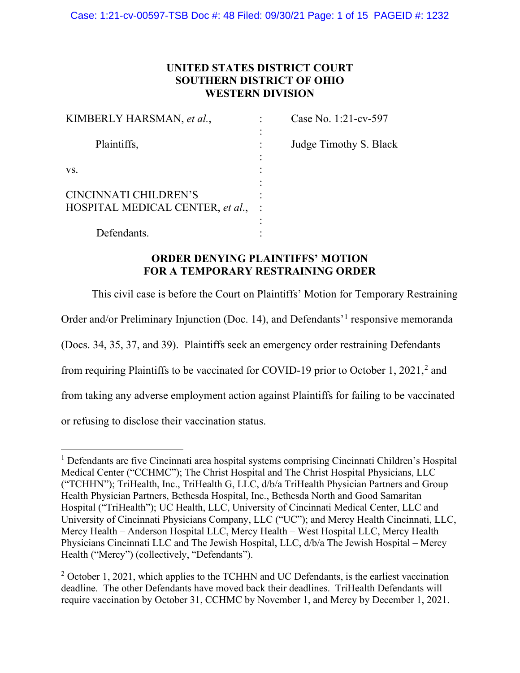## **UNITED STATES DISTRICT COURT SOUTHERN DISTRICT OF OHIO WESTERN DIVISION**

| KIMBERLY HARSMAN, et al.,        | Case No. 1:21-cv-597   |
|----------------------------------|------------------------|
| Plaintiffs,                      | Judge Timothy S. Black |
|                                  |                        |
| VS.                              |                        |
|                                  |                        |
| CINCINNATI CHILDREN'S            |                        |
| HOSPITAL MEDICAL CENTER, et al., |                        |
|                                  |                        |
| Defendants.                      |                        |

## **ORDER DENYING PLAINTIFFS' MOTION FOR A TEMPORARY RESTRAINING ORDER**

This civil case is before the Court on Plaintiffs' Motion for Temporary Restraining Order and/or Preliminary Injunction (Doc. 14), and Defendants'[1](#page-0-0) responsive memoranda (Docs. 34, 35, 37, and 39). Plaintiffs seek an emergency order restraining Defendants from requiring Plaintiffs to be vaccinated for COVID-19 prior to October 1, [2](#page-0-1)021,<sup>2</sup> and from taking any adverse employment action against Plaintiffs for failing to be vaccinated

or refusing to disclose their vaccination status.

<span id="page-0-0"></span><sup>&</sup>lt;sup>1</sup> Defendants are five Cincinnati area hospital systems comprising Cincinnati Children's Hospital Medical Center ("CCHMC"); The Christ Hospital and The Christ Hospital Physicians, LLC ("TCHHN"); TriHealth, Inc., TriHealth G, LLC, d/b/a TriHealth Physician Partners and Group Health Physician Partners, Bethesda Hospital, Inc., Bethesda North and Good Samaritan Hospital ("TriHealth"); UC Health, LLC, University of Cincinnati Medical Center, LLC and University of Cincinnati Physicians Company, LLC ("UC"); and Mercy Health Cincinnati, LLC, Mercy Health – Anderson Hospital LLC, Mercy Health – West Hospital LLC, Mercy Health Physicians Cincinnati LLC and The Jewish Hospital, LLC, d/b/a The Jewish Hospital – Mercy Health ("Mercy") (collectively, "Defendants").

<span id="page-0-1"></span> $2$  October 1, 2021, which applies to the TCHHN and UC Defendants, is the earliest vaccination deadline. The other Defendants have moved back their deadlines. TriHealth Defendants will require vaccination by October 31, CCHMC by November 1, and Mercy by December 1, 2021.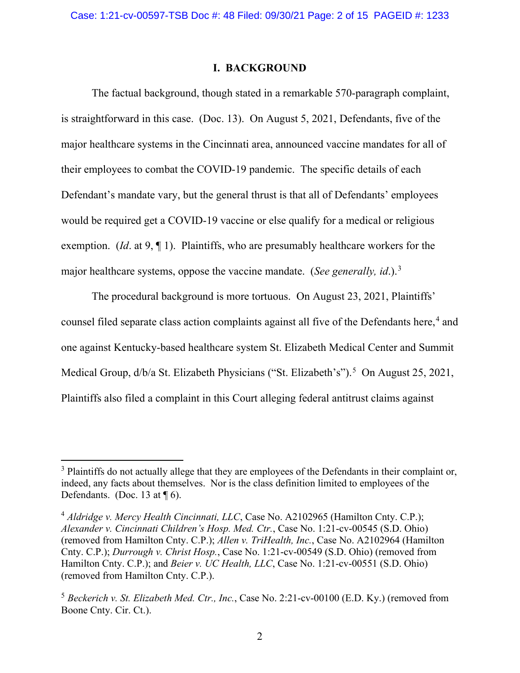#### **I. BACKGROUND**

The factual background, though stated in a remarkable 570-paragraph complaint, is straightforward in this case. (Doc. 13). On August 5, 2021, Defendants, five of the major healthcare systems in the Cincinnati area, announced vaccine mandates for all of their employees to combat the COVID-19 pandemic. The specific details of each Defendant's mandate vary, but the general thrust is that all of Defendants' employees would be required get a COVID-19 vaccine or else qualify for a medical or religious exemption. (*Id*. at 9, ¶ 1). Plaintiffs, who are presumably healthcare workers for the major healthcare systems, oppose the vaccine mandate. (*See generally, id*.). [3](#page-1-0)

The procedural background is more tortuous. On August 23, 2021, Plaintiffs' counsel filed separate class action complaints against all five of the Defendants here, [4](#page-1-1) and one against Kentucky-based healthcare system St. Elizabeth Medical Center and Summit Medical Group, d/b/a St. Elizabeth Physicians ("St. Elizabeth's").<sup>[5](#page-1-2)</sup> On August 25, 2021, Plaintiffs also filed a complaint in this Court alleging federal antitrust claims against

<span id="page-1-0"></span><sup>&</sup>lt;sup>3</sup> Plaintiffs do not actually allege that they are employees of the Defendants in their complaint or, indeed, any facts about themselves. Nor is the class definition limited to employees of the Defendants. (Doc. 13 at  $\P$  6).

<span id="page-1-1"></span><sup>&</sup>lt;sup>4</sup> Aldridge v. Mercy Health Cincinnati, LLC, Case No. A2102965 (Hamilton Cnty. C.P.); *Alexander v. Cincinnati Children's Hosp. Med. Ctr.*, Case No. 1:21-cv-00545 (S.D. Ohio) (removed from Hamilton Cnty. C.P.); *Allen v. TriHealth, Inc.*, Case No. A2102964 (Hamilton Cnty. C.P.); *Durrough v. Christ Hosp.*, Case No. 1:21-cv-00549 (S.D. Ohio) (removed from Hamilton Cnty. C.P.); and *Beier v. UC Health, LLC*, Case No. 1:21-cv-00551 (S.D. Ohio) (removed from Hamilton Cnty. C.P.).

<span id="page-1-2"></span><sup>5</sup> *Beckerich v. St. Elizabeth Med. Ctr., Inc.*, Case No. 2:21-cv-00100 (E.D. Ky.) (removed from Boone Cnty. Cir. Ct.).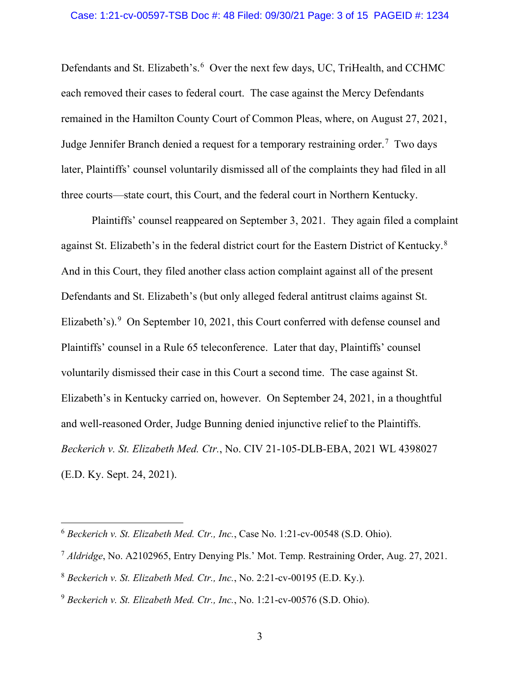Defendants and St. Elizabeth's.<sup>[6](#page-2-0)</sup> Over the next few days, UC, TriHealth, and CCHMC each removed their cases to federal court. The case against the Mercy Defendants remained in the Hamilton County Court of Common Pleas, where, on August 27, 2021, Judge Jennifer Branch denied a request for a temporary restraining order.<sup>[7](#page-2-1)</sup> Two days later, Plaintiffs' counsel voluntarily dismissed all of the complaints they had filed in all three courts—state court, this Court, and the federal court in Northern Kentucky.

Plaintiffs' counsel reappeared on September 3, 2021. They again filed a complaint against St. Elizabeth's in the federal district court for the Eastern District of Kentucky.<sup>[8](#page-2-2)</sup> And in this Court, they filed another class action complaint against all of the present Defendants and St. Elizabeth's (but only alleged federal antitrust claims against St. Elizabeth's).<sup>[9](#page-2-3)</sup> On September 10, 2021, this Court conferred with defense counsel and Plaintiffs' counsel in a Rule 65 teleconference. Later that day, Plaintiffs' counsel voluntarily dismissed their case in this Court a second time. The case against St. Elizabeth's in Kentucky carried on, however. On September 24, 2021, in a thoughtful and well-reasoned Order, Judge Bunning denied injunctive relief to the Plaintiffs. *Beckerich v. St. Elizabeth Med. Ctr.*, No. CIV 21-105-DLB-EBA, 2021 WL 4398027 (E.D. Ky. Sept. 24, 2021).

<span id="page-2-0"></span><sup>6</sup> *Beckerich v. St. Elizabeth Med. Ctr., Inc.*, Case No. 1:21-cv-00548 (S.D. Ohio).

<span id="page-2-1"></span><sup>7</sup> *Aldridge*, No. A2102965, Entry Denying Pls.' Mot. Temp. Restraining Order, Aug. 27, 2021.

<span id="page-2-2"></span><sup>8</sup> *Beckerich v. St. Elizabeth Med. Ctr., Inc.*, No. 2:21-cv-00195 (E.D. Ky.).

<span id="page-2-3"></span><sup>9</sup> *Beckerich v. St. Elizabeth Med. Ctr., Inc.*, No. 1:21-cv-00576 (S.D. Ohio).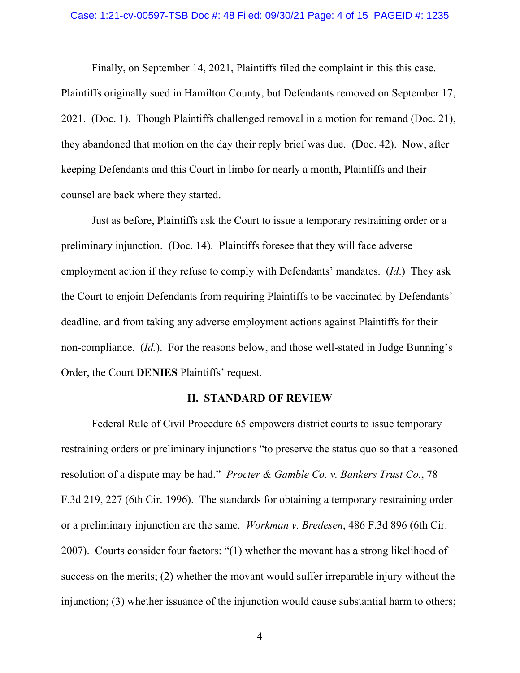#### Case: 1:21-cv-00597-TSB Doc #: 48 Filed: 09/30/21 Page: 4 of 15 PAGEID #: 1235

Finally, on September 14, 2021, Plaintiffs filed the complaint in this this case. Plaintiffs originally sued in Hamilton County, but Defendants removed on September 17, 2021. (Doc. 1). Though Plaintiffs challenged removal in a motion for remand (Doc. 21), they abandoned that motion on the day their reply brief was due. (Doc. 42). Now, after keeping Defendants and this Court in limbo for nearly a month, Plaintiffs and their counsel are back where they started.

Just as before, Plaintiffs ask the Court to issue a temporary restraining order or a preliminary injunction. (Doc. 14). Plaintiffs foresee that they will face adverse employment action if they refuse to comply with Defendants' mandates. (*Id*.) They ask the Court to enjoin Defendants from requiring Plaintiffs to be vaccinated by Defendants' deadline, and from taking any adverse employment actions against Plaintiffs for their non-compliance. (*Id.*). For the reasons below, and those well-stated in Judge Bunning's Order, the Court **DENIES** Plaintiffs' request.

#### **II. STANDARD OF REVIEW**

Federal Rule of Civil Procedure 65 empowers district courts to issue temporary restraining orders or preliminary injunctions "to preserve the status quo so that a reasoned resolution of a dispute may be had." *Procter & Gamble Co. v. Bankers Trust Co.*, 78 F.3d 219, 227 (6th Cir. 1996). The standards for obtaining a temporary restraining order or a preliminary injunction are the same. *Workman v. Bredesen*, 486 F.3d 896 (6th Cir. 2007). Courts consider four factors: "(1) whether the movant has a strong likelihood of success on the merits; (2) whether the movant would suffer irreparable injury without the injunction; (3) whether issuance of the injunction would cause substantial harm to others;

4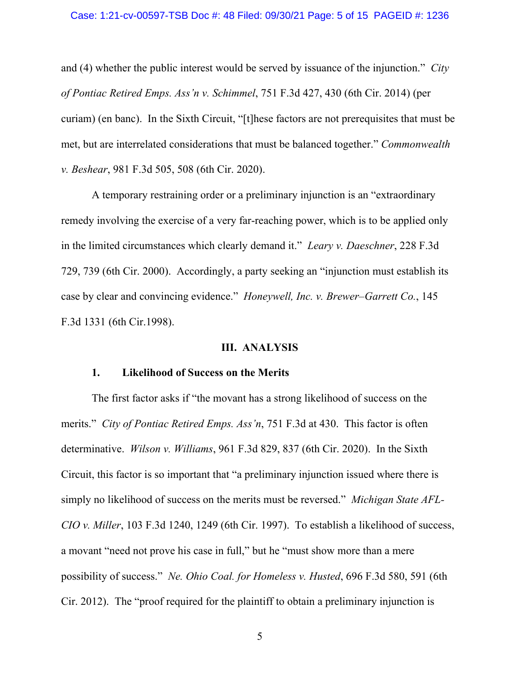and (4) whether the public interest would be served by issuance of the injunction." *City of Pontiac Retired Emps. Ass'n v. Schimmel*, 751 F.3d 427, 430 (6th Cir. 2014) (per curiam) (en banc). In the Sixth Circuit, "[t]hese factors are not prerequisites that must be met, but are interrelated considerations that must be balanced together." *Commonwealth v. Beshear*, 981 F.3d 505, 508 (6th Cir. 2020).

A temporary restraining order or a preliminary injunction is an "extraordinary remedy involving the exercise of a very far-reaching power, which is to be applied only in the limited circumstances which clearly demand it." *Leary v. Daeschner*, 228 F.3d 729, 739 (6th Cir. 2000). Accordingly, a party seeking an "injunction must establish its case by clear and convincing evidence." *Honeywell, Inc. v. Brewer–Garrett Co.*, 145 F.3d 1331 (6th Cir.1998).

#### **III. ANALYSIS**

#### **1. Likelihood of Success on the Merits**

The first factor asks if "the movant has a strong likelihood of success on the merits." *City of Pontiac Retired Emps. Ass'n*, 751 F.3d at 430. This factor is often determinative. *Wilson v. Williams*, 961 F.3d 829, 837 (6th Cir. 2020). In the Sixth Circuit, this factor is so important that "a preliminary injunction issued where there is simply no likelihood of success on the merits must be reversed." *Michigan State AFL-CIO v. Miller*, 103 F.3d 1240, 1249 (6th Cir. 1997). To establish a likelihood of success, a movant "need not prove his case in full," but he "must show more than a mere possibility of success." *Ne. Ohio Coal. for Homeless v. Husted*, 696 F.3d 580, 591 (6th Cir. 2012). The "proof required for the plaintiff to obtain a preliminary injunction is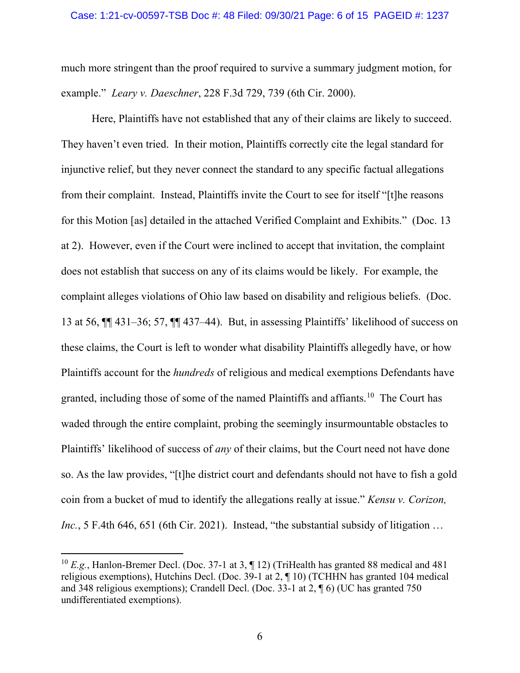much more stringent than the proof required to survive a summary judgment motion, for example." *Leary v. Daeschner*, 228 F.3d 729, 739 (6th Cir. 2000).

Here, Plaintiffs have not established that any of their claims are likely to succeed. They haven't even tried. In their motion, Plaintiffs correctly cite the legal standard for injunctive relief, but they never connect the standard to any specific factual allegations from their complaint. Instead, Plaintiffs invite the Court to see for itself "[t]he reasons for this Motion [as] detailed in the attached Verified Complaint and Exhibits." (Doc. 13 at 2). However, even if the Court were inclined to accept that invitation, the complaint does not establish that success on any of its claims would be likely. For example, the complaint alleges violations of Ohio law based on disability and religious beliefs. (Doc. 13 at 56, ¶¶ 431–36; 57, ¶¶ 437–44). But, in assessing Plaintiffs' likelihood of success on these claims, the Court is left to wonder what disability Plaintiffs allegedly have, or how Plaintiffs account for the *hundreds* of religious and medical exemptions Defendants have granted, including those of some of the named Plaintiffs and affiants.<sup>[10](#page-5-0)</sup> The Court has waded through the entire complaint, probing the seemingly insurmountable obstacles to Plaintiffs' likelihood of success of *any* of their claims, but the Court need not have done so. As the law provides, "[t]he district court and defendants should not have to fish a gold coin from a bucket of mud to identify the allegations really at issue." *Kensu v. Corizon, Inc.*, 5 F.4th 646, 651 (6th Cir. 2021). Instead, "the substantial subsidy of litigation ...

<span id="page-5-0"></span><sup>10</sup> *E.g.*, Hanlon-Bremer Decl. (Doc. 37-1 at 3, ¶ 12) (TriHealth has granted 88 medical and 481 religious exemptions), Hutchins Decl. (Doc. 39-1 at 2, ¶ 10) (TCHHN has granted 104 medical and 348 religious exemptions); Crandell Decl. (Doc. 33-1 at 2, ¶ 6) (UC has granted 750 undifferentiated exemptions).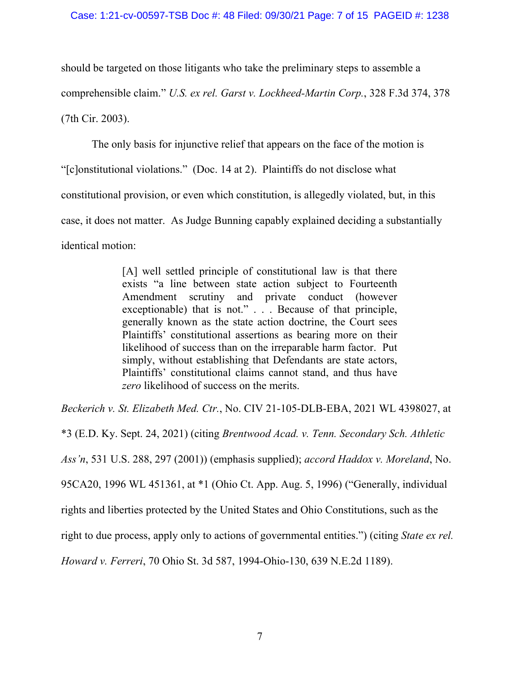should be targeted on those litigants who take the preliminary steps to assemble a comprehensible claim." *U.S. ex rel. Garst v. Lockheed-Martin Corp.*, 328 F.3d 374, 378 (7th Cir. 2003).

The only basis for injunctive relief that appears on the face of the motion is "[c]onstitutional violations." (Doc. 14 at 2). Plaintiffs do not disclose what constitutional provision, or even which constitution, is allegedly violated, but, in this case, it does not matter. As Judge Bunning capably explained deciding a substantially identical motion:

> [A] well settled principle of constitutional law is that there exists "a line between state action subject to Fourteenth Amendment scrutiny and private conduct (however exceptionable) that is not." . . . Because of that principle, generally known as the state action doctrine, the Court sees Plaintiffs' constitutional assertions as bearing more on their likelihood of success than on the irreparable harm factor. Put simply, without establishing that Defendants are state actors, Plaintiffs' constitutional claims cannot stand, and thus have *zero* likelihood of success on the merits.

*Beckerich v. St. Elizabeth Med. Ctr.*, No. CIV 21-105-DLB-EBA, 2021 WL 4398027, at

\*3 (E.D. Ky. Sept. 24, 2021) (citing *Brentwood Acad. v. Tenn. Secondary Sch. Athletic Ass'n*, 531 U.S. 288, 297 (2001)) (emphasis supplied); *accord Haddox v. Moreland*, No. 95CA20, 1996 WL 451361, at \*1 (Ohio Ct. App. Aug. 5, 1996) ("Generally, individual rights and liberties protected by the United States and Ohio Constitutions, such as the right to due process, apply only to actions of governmental entities.") (citing *State ex rel. Howard v. Ferreri*, 70 Ohio St. 3d 587, 1994-Ohio-130, 639 N.E.2d 1189).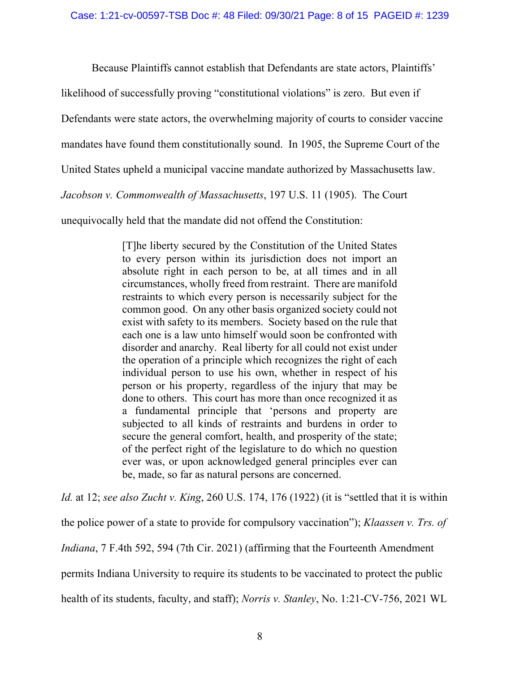Because Plaintiffs cannot establish that Defendants are state actors, Plaintiffs'

likelihood of successfully proving "constitutional violations" is zero. But even if

Defendants were state actors, the overwhelming majority of courts to consider vaccine

mandates have found them constitutionally sound. In 1905, the Supreme Court of the

United States upheld a municipal vaccine mandate authorized by Massachusetts law.

*Jacobson v. Commonwealth of Massachusetts*, 197 U.S. 11 (1905). The Court

unequivocally held that the mandate did not offend the Constitution:

[T]he liberty secured by the Constitution of the United States to every person within its jurisdiction does not import an absolute right in each person to be, at all times and in all circumstances, wholly freed from restraint. There are manifold restraints to which every person is necessarily subject for the common good. On any other basis organized society could not exist with safety to its members. Society based on the rule that each one is a law unto himself would soon be confronted with disorder and anarchy. Real liberty for all could not exist under the operation of a principle which recognizes the right of each individual person to use his own, whether in respect of his person or his property, regardless of the injury that may be done to others. This court has more than once recognized it as a fundamental principle that 'persons and property are subjected to all kinds of restraints and burdens in order to secure the general comfort, health, and prosperity of the state; of the perfect right of the legislature to do which no question ever was, or upon acknowledged general principles ever can be, made, so far as natural persons are concerned.

*Id.* at 12; *see also Zucht v. King*, 260 U.S. 174, 176 (1922) (it is "settled that it is within

the police power of a state to provide for compulsory vaccination"); *Klaassen v. Trs. of* 

*Indiana*, 7 F.4th 592, 594 (7th Cir. 2021) (affirming that the Fourteenth Amendment

permits Indiana University to require its students to be vaccinated to protect the public

health of its students, faculty, and staff); *Norris v. Stanley*, No. 1:21-CV-756, 2021 WL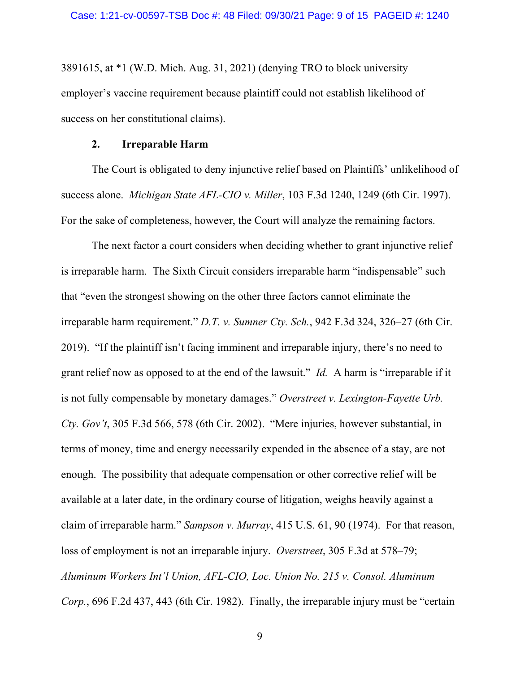3891615, at \*1 (W.D. Mich. Aug. 31, 2021) (denying TRO to block university employer's vaccine requirement because plaintiff could not establish likelihood of success on her constitutional claims).

#### **2. Irreparable Harm**

The Court is obligated to deny injunctive relief based on Plaintiffs' unlikelihood of success alone. *Michigan State AFL-CIO v. Miller*, 103 F.3d 1240, 1249 (6th Cir. 1997). For the sake of completeness, however, the Court will analyze the remaining factors.

The next factor a court considers when deciding whether to grant injunctive relief is irreparable harm. The Sixth Circuit considers irreparable harm "indispensable" such that "even the strongest showing on the other three factors cannot eliminate the irreparable harm requirement." *D.T. v. Sumner Cty. Sch.*, 942 F.3d 324, 326–27 (6th Cir. 2019). "If the plaintiff isn't facing imminent and irreparable injury, there's no need to grant relief now as opposed to at the end of the lawsuit." *Id.* A harm is "irreparable if it is not fully compensable by monetary damages." *Overstreet v. Lexington-Fayette Urb. Cty. Gov't*, 305 F.3d 566, 578 (6th Cir. 2002). "Mere injuries, however substantial, in terms of money, time and energy necessarily expended in the absence of a stay, are not enough. The possibility that adequate compensation or other corrective relief will be available at a later date, in the ordinary course of litigation, weighs heavily against a claim of irreparable harm." *Sampson v. Murray*, 415 U.S. 61, 90 (1974). For that reason, loss of employment is not an irreparable injury. *Overstreet*, 305 F.3d at 578–79; *Aluminum Workers Int'l Union, AFL-CIO, Loc. Union No. 215 v. Consol. Aluminum Corp.*, 696 F.2d 437, 443 (6th Cir. 1982). Finally, the irreparable injury must be "certain

9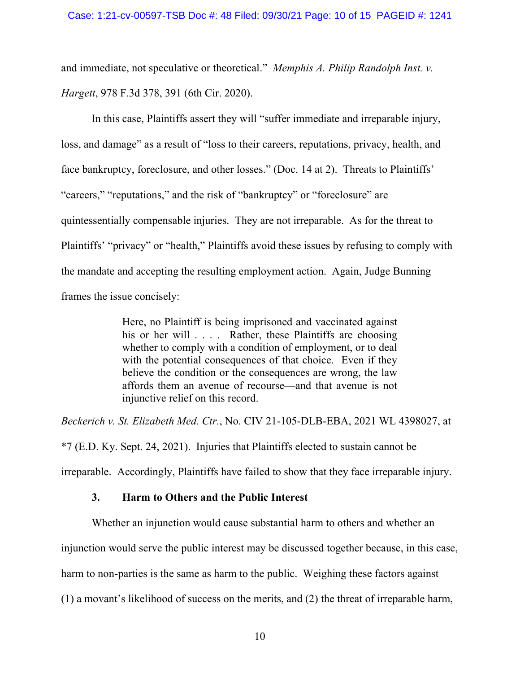and immediate, not speculative or theoretical." *Memphis A. Philip Randolph Inst. v. Hargett*, 978 F.3d 378, 391 (6th Cir. 2020).

In this case, Plaintiffs assert they will "suffer immediate and irreparable injury, loss, and damage" as a result of "loss to their careers, reputations, privacy, health, and face bankruptcy, foreclosure, and other losses." (Doc. 14 at 2). Threats to Plaintiffs' "careers," "reputations," and the risk of "bankruptcy" or "foreclosure" are quintessentially compensable injuries. They are not irreparable. As for the threat to Plaintiffs' "privacy" or "health," Plaintiffs avoid these issues by refusing to comply with the mandate and accepting the resulting employment action. Again, Judge Bunning frames the issue concisely:

> Here, no Plaintiff is being imprisoned and vaccinated against his or her will . . . . Rather, these Plaintiffs are choosing whether to comply with a condition of employment, or to deal with the potential consequences of that choice. Even if they believe the condition or the consequences are wrong, the law affords them an avenue of recourse—and that avenue is not injunctive relief on this record.

*Beckerich v. St. Elizabeth Med. Ctr.*, No. CIV 21-105-DLB-EBA, 2021 WL 4398027, at

\*7 (E.D. Ky. Sept. 24, 2021). Injuries that Plaintiffs elected to sustain cannot be

irreparable. Accordingly, Plaintiffs have failed to show that they face irreparable injury.

## **3. Harm to Others and the Public Interest**

Whether an injunction would cause substantial harm to others and whether an

injunction would serve the public interest may be discussed together because, in this case,

harm to non-parties is the same as harm to the public. Weighing these factors against

(1) a movant's likelihood of success on the merits, and (2) the threat of irreparable harm,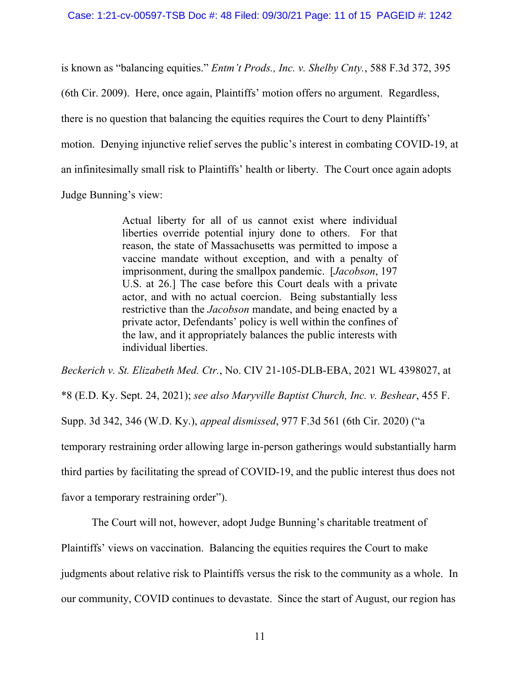is known as "balancing equities." *Entm't Prods., Inc. v. Shelby Cnty.*, 588 F.3d 372, 395 (6th Cir. 2009). Here, once again, Plaintiffs' motion offers no argument. Regardless, there is no question that balancing the equities requires the Court to deny Plaintiffs' motion. Denying injunctive relief serves the public's interest in combating COVID-19, at an infinitesimally small risk to Plaintiffs' health or liberty. The Court once again adopts Judge Bunning's view:

> Actual liberty for all of us cannot exist where individual liberties override potential injury done to others. For that reason, the state of Massachusetts was permitted to impose a vaccine mandate without exception, and with a penalty of imprisonment, during the smallpox pandemic. [*Jacobson*, 197 U.S. at 26.] The case before this Court deals with a private actor, and with no actual coercion. Being substantially less restrictive than the *Jacobson* mandate, and being enacted by a private actor, Defendants' policy is well within the confines of the law, and it appropriately balances the public interests with individual liberties.

*Beckerich v. St. Elizabeth Med. Ctr.*, No. CIV 21-105-DLB-EBA, 2021 WL 4398027, at \*8 (E.D. Ky. Sept. 24, 2021); *see also Maryville Baptist Church, Inc. v. Beshear*, 455 F. Supp. 3d 342, 346 (W.D. Ky.), *appeal dismissed*, 977 F.3d 561 (6th Cir. 2020) ("a temporary restraining order allowing large in-person gatherings would substantially harm third parties by facilitating the spread of COVID-19, and the public interest thus does not favor a temporary restraining order").

The Court will not, however, adopt Judge Bunning's charitable treatment of Plaintiffs' views on vaccination. Balancing the equities requires the Court to make judgments about relative risk to Plaintiffs versus the risk to the community as a whole. In our community, COVID continues to devastate. Since the start of August, our region has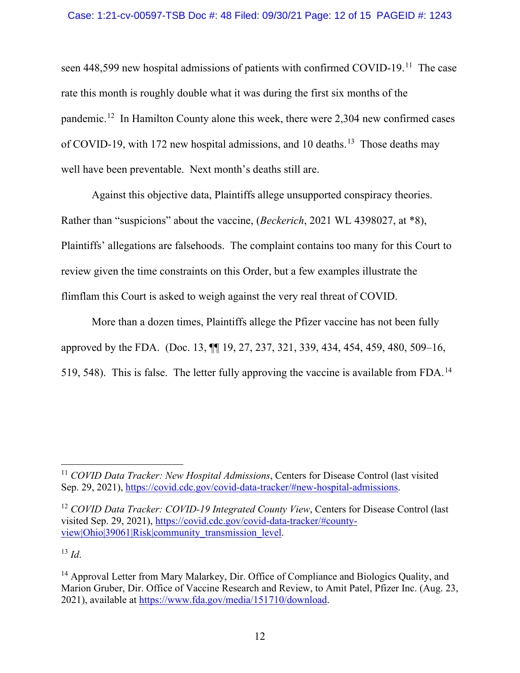#### Case: 1:21-cv-00597-TSB Doc #: 48 Filed: 09/30/21 Page: 12 of 15 PAGEID #: 1243

seen 448,599 new hospital admissions of patients with confirmed COVID-19.[11](#page-11-0) The case rate this month is roughly double what it was during the first six months of the pandemic.[12](#page-11-1) In Hamilton County alone this week, there were 2,304 new confirmed cases of COVID-19, with 172 new hospital admissions, and 10 deaths.<sup>13</sup> Those deaths may well have been preventable. Next month's deaths still are.

Against this objective data, Plaintiffs allege unsupported conspiracy theories. Rather than "suspicions" about the vaccine, (*Beckerich*, 2021 WL 4398027, at \*8), Plaintiffs' allegations are falsehoods. The complaint contains too many for this Court to review given the time constraints on this Order, but a few examples illustrate the flimflam this Court is asked to weigh against the very real threat of COVID.

More than a dozen times, Plaintiffs allege the Pfizer vaccine has not been fully approved by the FDA. (Doc. 13, ¶¶ 19, 27, 237, 321, 339, 434, 454, 459, 480, 509–16, 519, 548). This is false. The letter fully approving the vaccine is available from FDA.[14](#page-11-3)

<span id="page-11-1"></span><sup>12</sup> *COVID Data Tracker: COVID-19 Integrated County View*, Centers for Disease Control (last visited Sep. 29, 2021), [https://covid.cdc.gov/covid-data-tracker/#county](https://covid.cdc.gov/covid-data-tracker/#county-view|Ohio|39061|Risk|community_transmission_level)view|Ohio|39061|Risk|community transmission\_level.

<span id="page-11-2"></span> $13 \, Id.$ 

<span id="page-11-0"></span><sup>11</sup> *COVID Data Tracker: New Hospital Admissions*, Centers for Disease Control (last visited Sep. 29, 2021), [https://covid.cdc.gov/covid-data-tracker/#new-hospital-admissions.](https://covid.cdc.gov/covid-data-tracker/#new-hospital-admissions)

<span id="page-11-3"></span><sup>&</sup>lt;sup>14</sup> Approval Letter from Mary Malarkey, Dir. Office of Compliance and Biologics Quality, and Marion Gruber, Dir. Office of Vaccine Research and Review, to Amit Patel, Pfizer Inc. (Aug. 23, 2021), available at [https://www.fda.gov/media/151710/download.](https://www.fda.gov/media/151710/download)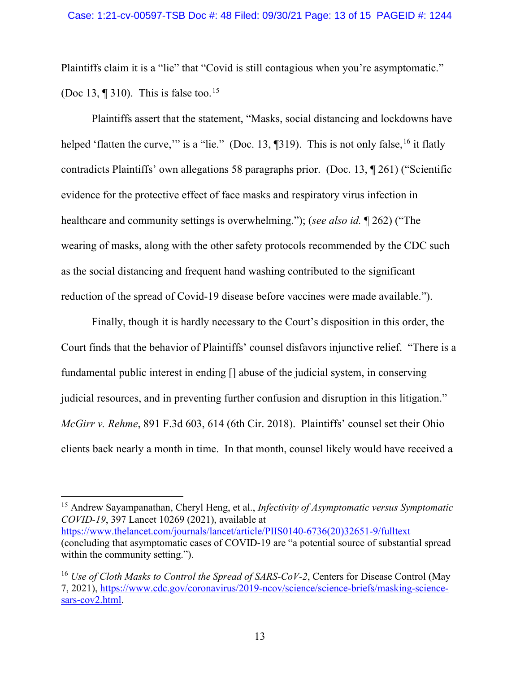Plaintiffs claim it is a "lie" that "Covid is still contagious when you're asymptomatic." (Doc 13,  $\P$  310). This is false too.<sup>[15](#page-12-0)</sup>

Plaintiffs assert that the statement, "Masks, social distancing and lockdowns have helped 'flatten the curve," is a "lie." (Doc. 13,  $\sqrt{3}19$ ). This is not only false, <sup>[16](#page-12-1)</sup> it flatly contradicts Plaintiffs' own allegations 58 paragraphs prior. (Doc. 13, ¶ 261) ("Scientific evidence for the protective effect of face masks and respiratory virus infection in healthcare and community settings is overwhelming."); (*see also id.* ¶ 262) ("The wearing of masks, along with the other safety protocols recommended by the CDC such as the social distancing and frequent hand washing contributed to the significant reduction of the spread of Covid-19 disease before vaccines were made available.").

Finally, though it is hardly necessary to the Court's disposition in this order, the Court finds that the behavior of Plaintiffs' counsel disfavors injunctive relief. "There is a fundamental public interest in ending [] abuse of the judicial system, in conserving judicial resources, and in preventing further confusion and disruption in this litigation." *McGirr v. Rehme*, 891 F.3d 603, 614 (6th Cir. 2018). Plaintiffs' counsel set their Ohio clients back nearly a month in time. In that month, counsel likely would have received a

<span id="page-12-0"></span><sup>15</sup> Andrew Sayampanathan, Cheryl Heng, et al., *Infectivity of Asymptomatic versus Symptomatic COVID-19*, 397 Lancet 10269 (2021), available at [https://www.thelancet.com/journals/lancet/article/PIIS0140-6736\(20\)32651-9/fulltext](https://www.thelancet.com/journals/lancet/article/PIIS0140-6736(20)32651-9/fulltext) (concluding that asymptomatic cases of COVID-19 are "a potential source of substantial spread within the community setting.").

<span id="page-12-1"></span><sup>&</sup>lt;sup>16</sup> *Use of Cloth Masks to Control the Spread of SARS-CoV-2*, Centers for Disease Control (May 7, 2021), [https://www.cdc.gov/coronavirus/2019-ncov/science/science-briefs/masking-science](https://www.cdc.gov/coronavirus/2019-ncov/science/science-briefs/masking-science-sars-cov2.html)[sars-cov2.html.](https://www.cdc.gov/coronavirus/2019-ncov/science/science-briefs/masking-science-sars-cov2.html)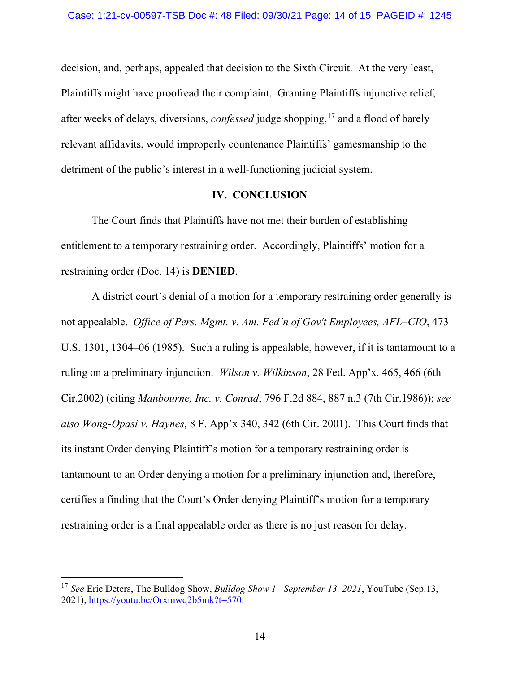decision, and, perhaps, appealed that decision to the Sixth Circuit. At the very least, Plaintiffs might have proofread their complaint. Granting Plaintiffs injunctive relief, after weeks of delays, diversions, *confessed* judge shopping,<sup>[17](#page-13-0)</sup> and a flood of barely relevant affidavits, would improperly countenance Plaintiffs' gamesmanship to the detriment of the public's interest in a well-functioning judicial system.

### **IV. CONCLUSION**

The Court finds that Plaintiffs have not met their burden of establishing entitlement to a temporary restraining order. Accordingly, Plaintiffs' motion for a restraining order (Doc. 14) is **DENIED**.

A district court's denial of a motion for a temporary restraining order generally is not appealable. *Office of Pers. Mgmt. v. Am. Fed'n of Gov't Employees, AFL–CIO*, 473 U.S. 1301, 1304–06 (1985). Such a ruling is appealable, however, if it is tantamount to a ruling on a preliminary injunction. *Wilson v. Wilkinson*, 28 Fed. App'x. 465, 466 (6th Cir.2002) (citing *Manbourne, Inc. v. Conrad*, 796 F.2d 884, 887 n.3 (7th Cir.1986)); *see also Wong-Opasi v. Haynes*, 8 F. App'x 340, 342 (6th Cir. 2001). This Court finds that its instant Order denying Plaintiff's motion for a temporary restraining order is tantamount to an Order denying a motion for a preliminary injunction and, therefore, certifies a finding that the Court's Order denying Plaintiff's motion for a temporary restraining order is a final appealable order as there is no just reason for delay.

<span id="page-13-0"></span><sup>17</sup> *See* Eric Deters, The Bulldog Show, *Bulldog Show 1 | September 13, 2021*, YouTube (Sep.13, 2021), https://youtu.be/Orxmwq2b5mk?t=570.